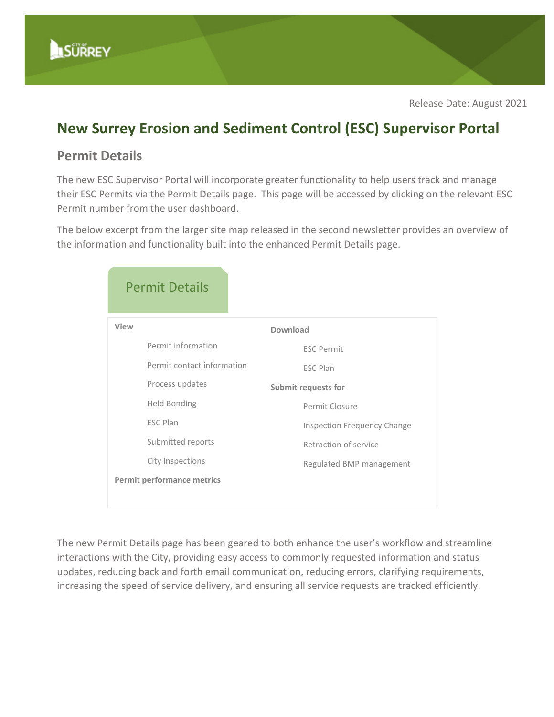

## **New Surrey Erosion and Sediment Control (ESC) Supervisor Portal**

## **Permit Details**

The new ESC Supervisor Portal will incorporate greater functionality to help users track and manage their ESC Permits via the Permit Details page. This page will be accessed by clicking on the relevant ESC Permit number from the user dashboard.

The below excerpt from the larger site map released in the second newsletter provides an overview of the information and functionality built into the enhanced Permit Details page.

| <b>Permit Details</b>             |                                    |
|-----------------------------------|------------------------------------|
| View                              | Download                           |
| Permit information                | <b>ESC Permit</b>                  |
| Permit contact information        | <b>ESC Plan</b>                    |
| Process updates                   | <b>Submit requests for</b>         |
| <b>Held Bonding</b>               | Permit Closure                     |
| <b>ESC Plan</b>                   | <b>Inspection Frequency Change</b> |
| Submitted reports                 | Retraction of service              |
| City Inspections                  | Regulated BMP management           |
| <b>Permit performance metrics</b> |                                    |
|                                   |                                    |

The new Permit Details page has been geared to both enhance the user's workflow and streamline interactions with the City, providing easy access to commonly requested information and status updates, reducing back and forth email communication, reducing errors, clarifying requirements, increasing the speed of service delivery, and ensuring all service requests are tracked efficiently.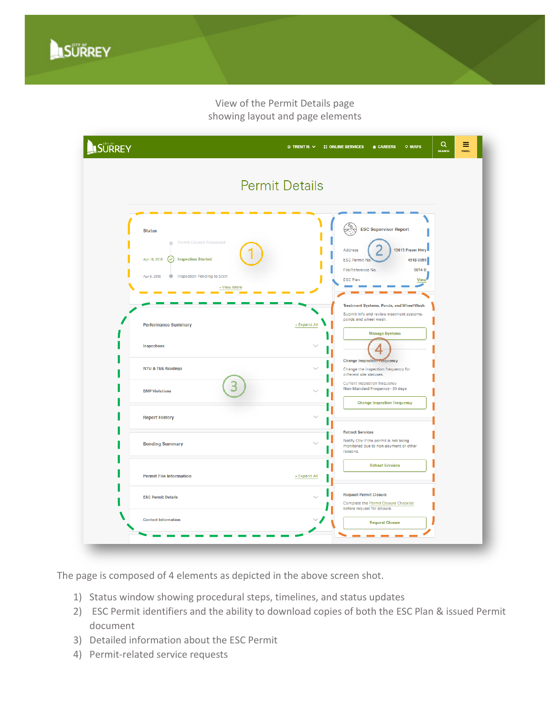View of the Permit Details page showing layout and page elements



The page is composed of 4 elements as depicted in the above screen shot.

- 1) Status window showing procedural steps, timelines, and status updates
- 2) ESC Permit identifiers and the ability to download copies of both the ESC Plan & issued Permit document
- 3) Detailed information about the ESC Permit
- 4) Permit-related service requests